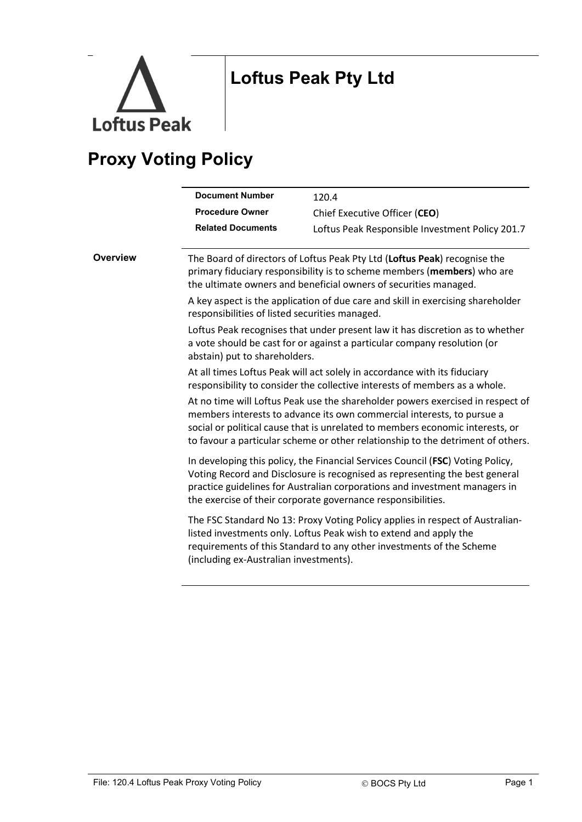

## Loftus Peak Pty Ltd

## Proxy Voting Policy

|          | <b>Document Number</b>                         | 120.4                                                                                                                                                                                                                                                                                                                        |
|----------|------------------------------------------------|------------------------------------------------------------------------------------------------------------------------------------------------------------------------------------------------------------------------------------------------------------------------------------------------------------------------------|
|          | <b>Procedure Owner</b>                         | Chief Executive Officer (CEO)                                                                                                                                                                                                                                                                                                |
|          | <b>Related Documents</b>                       | Loftus Peak Responsible Investment Policy 201.7                                                                                                                                                                                                                                                                              |
| Overview |                                                | The Board of directors of Loftus Peak Pty Ltd (Loftus Peak) recognise the<br>primary fiduciary responsibility is to scheme members (members) who are<br>the ultimate owners and beneficial owners of securities managed.                                                                                                     |
|          | responsibilities of listed securities managed. | A key aspect is the application of due care and skill in exercising shareholder                                                                                                                                                                                                                                              |
|          | abstain) put to shareholders.                  | Loftus Peak recognises that under present law it has discretion as to whether<br>a vote should be cast for or against a particular company resolution (or                                                                                                                                                                    |
|          |                                                | At all times Loftus Peak will act solely in accordance with its fiduciary<br>responsibility to consider the collective interests of members as a whole.                                                                                                                                                                      |
|          |                                                | At no time will Loftus Peak use the shareholder powers exercised in respect of<br>members interests to advance its own commercial interests, to pursue a<br>social or political cause that is unrelated to members economic interests, or<br>to favour a particular scheme or other relationship to the detriment of others. |
|          |                                                | In developing this policy, the Financial Services Council (FSC) Voting Policy,<br>Voting Record and Disclosure is recognised as representing the best general<br>practice guidelines for Australian corporations and investment managers in<br>the exercise of their corporate governance responsibilities.                  |
|          | (including ex-Australian investments).         | The FSC Standard No 13: Proxy Voting Policy applies in respect of Australian-<br>listed investments only. Loftus Peak wish to extend and apply the<br>requirements of this Standard to any other investments of the Scheme                                                                                                   |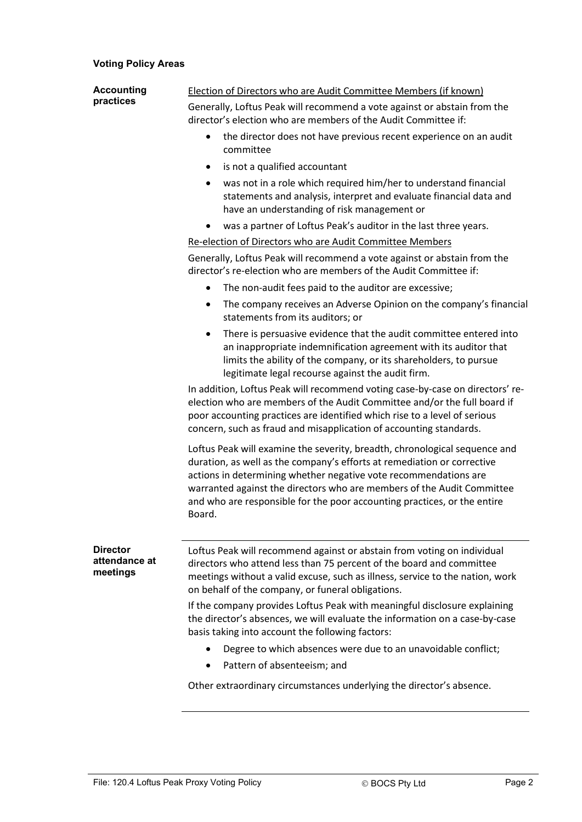## Voting Policy Areas

| <b>Accounting</b><br>practices               | <b>Election of Directors who are Audit Committee Members (if known)</b>                                                                                                                                                                                                                                                                                                                   |
|----------------------------------------------|-------------------------------------------------------------------------------------------------------------------------------------------------------------------------------------------------------------------------------------------------------------------------------------------------------------------------------------------------------------------------------------------|
|                                              | Generally, Loftus Peak will recommend a vote against or abstain from the<br>director's election who are members of the Audit Committee if:                                                                                                                                                                                                                                                |
|                                              | the director does not have previous recent experience on an audit<br>$\bullet$<br>committee                                                                                                                                                                                                                                                                                               |
|                                              | is not a qualified accountant<br>$\bullet$                                                                                                                                                                                                                                                                                                                                                |
|                                              | was not in a role which required him/her to understand financial<br>$\bullet$<br>statements and analysis, interpret and evaluate financial data and<br>have an understanding of risk management or                                                                                                                                                                                        |
|                                              | was a partner of Loftus Peak's auditor in the last three years.<br>٠                                                                                                                                                                                                                                                                                                                      |
|                                              | Re-election of Directors who are Audit Committee Members                                                                                                                                                                                                                                                                                                                                  |
|                                              | Generally, Loftus Peak will recommend a vote against or abstain from the<br>director's re-election who are members of the Audit Committee if:                                                                                                                                                                                                                                             |
|                                              | The non-audit fees paid to the auditor are excessive;<br>$\bullet$                                                                                                                                                                                                                                                                                                                        |
|                                              | The company receives an Adverse Opinion on the company's financial<br>$\bullet$<br>statements from its auditors; or                                                                                                                                                                                                                                                                       |
|                                              | There is persuasive evidence that the audit committee entered into<br>$\bullet$<br>an inappropriate indemnification agreement with its auditor that<br>limits the ability of the company, or its shareholders, to pursue<br>legitimate legal recourse against the audit firm.                                                                                                             |
|                                              | In addition, Loftus Peak will recommend voting case-by-case on directors' re-<br>election who are members of the Audit Committee and/or the full board if<br>poor accounting practices are identified which rise to a level of serious<br>concern, such as fraud and misapplication of accounting standards.                                                                              |
|                                              | Loftus Peak will examine the severity, breadth, chronological sequence and<br>duration, as well as the company's efforts at remediation or corrective<br>actions in determining whether negative vote recommendations are<br>warranted against the directors who are members of the Audit Committee<br>and who are responsible for the poor accounting practices, or the entire<br>Board. |
| <b>Director</b><br>attendance at<br>meetings | Loftus Peak will recommend against or abstain from voting on individual<br>directors who attend less than 75 percent of the board and committee<br>meetings without a valid excuse, such as illness, service to the nation, work<br>on behalf of the company, or funeral obligations.                                                                                                     |
|                                              | If the company provides Loftus Peak with meaningful disclosure explaining<br>the director's absences, we will evaluate the information on a case-by-case<br>basis taking into account the following factors:                                                                                                                                                                              |
|                                              | Degree to which absences were due to an unavoidable conflict;<br>$\bullet$                                                                                                                                                                                                                                                                                                                |
|                                              | Pattern of absenteeism; and                                                                                                                                                                                                                                                                                                                                                               |
|                                              | Other extraordinary circumstances underlying the director's absence.                                                                                                                                                                                                                                                                                                                      |